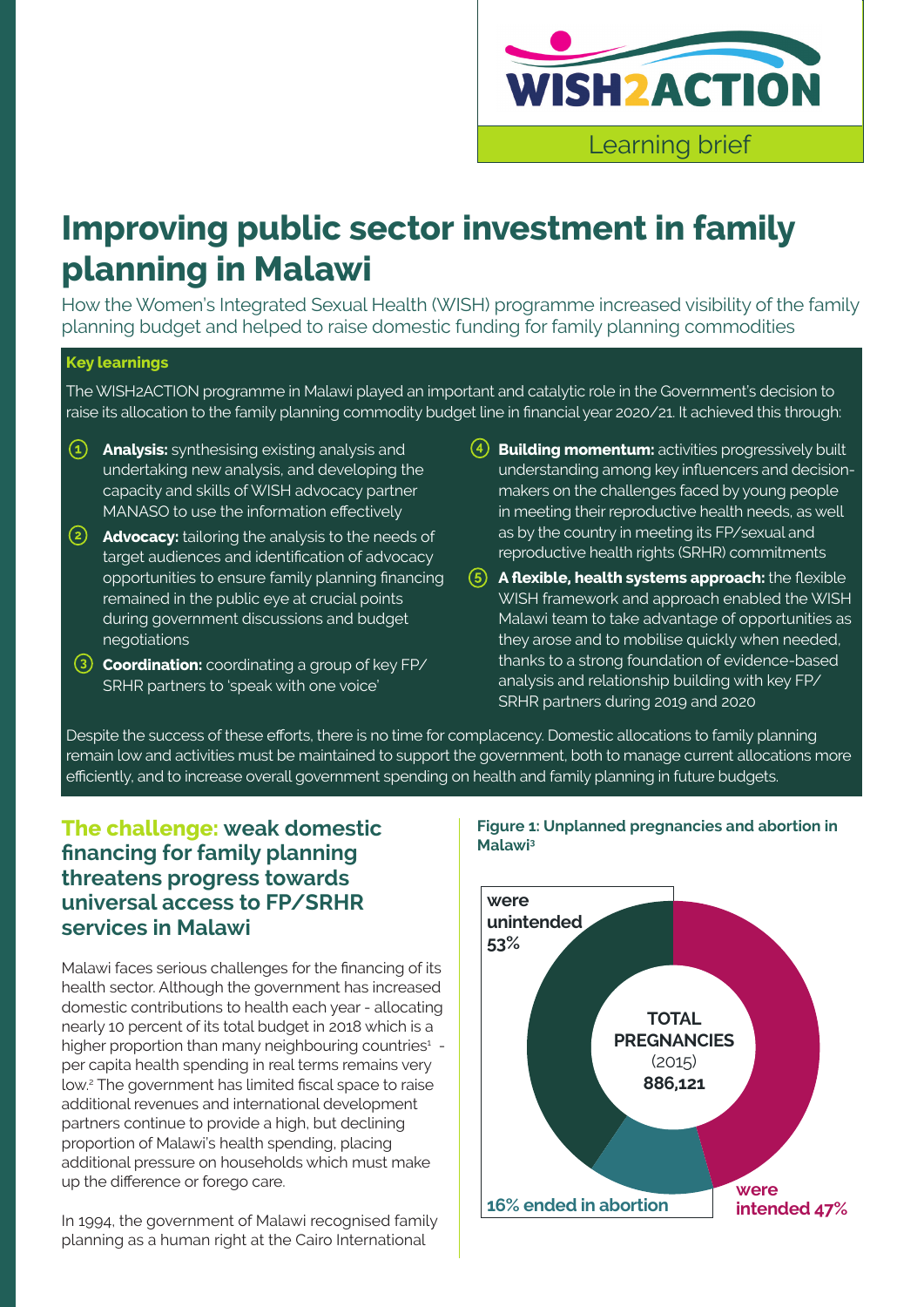

# **Improving public sector investment in family planning in Malawi**

How the Women's Integrated Sexual Health (WISH) programme increased visibility of the family planning budget and helped to raise domestic funding for family planning commodities

#### **Key learnings**

The WISH2ACTION programme in Malawi played an important and catalytic role in the Government's decision to raise its allocation to the family planning commodity budget line in financial year 2020/21. It achieved this through:

- **• Analysis:** synthesising existing analysis and undertaking new analysis, and developing the capacity and skills of WISH advocacy partner MANASO to use the information effectively
- **• Advocacy:** tailoring the analysis to the needs of target audiences and identification of advocacy opportunities to ensure family planning financing remained in the public eye at crucial points during government discussions and budget negotiations
- **• Coordination:** coordinating a group of key FP/ SRHR partners to 'speak with one voice'
- **• Building momentum:** activities progressively built understanding among key influencers and decisionmakers on the challenges faced by young people in meeting their reproductive health needs, as well as by the country in meeting its FP/sexual and reproductive health rights (SRHR) commitments
- **• A flexible, health systems approach:** the flexible WISH framework and approach enabled the WISH Malawi team to take advantage of opportunities as they arose and to mobilise quickly when needed, thanks to a strong foundation of evidence-based analysis and relationship building with key FP/ SRHR partners during 2019 and 2020

Despite the success of these efforts, there is no time for complacency. Domestic allocations to family planning remain low and activities must be maintained to support the government, both to manage current allocations more efficiently, and to increase overall government spending on health and family planning in future budgets.

### **The challenge: weak domestic financing for family planning threatens progress towards universal access to FP/SRHR services in Malawi**

Malawi faces serious challenges for the financing of its health sector. Although the government has increased domestic contributions to health each year - allocating nearly 10 percent of its total budget in 2018 which is a higher proportion than many neighbouring countries<sup>1</sup> per capita health spending in real terms remains very low.2 The government has limited fiscal space to raise additional revenues and international development partners continue to provide a high, but declining proportion of Malawi's health spending, placing additional pressure on households which must make up the difference or forego care.

In 1994, the government of Malawi recognised family planning as a human right at the Cairo International



#### **Figure 1: Unplanned pregnancies and abortion in Malawi3**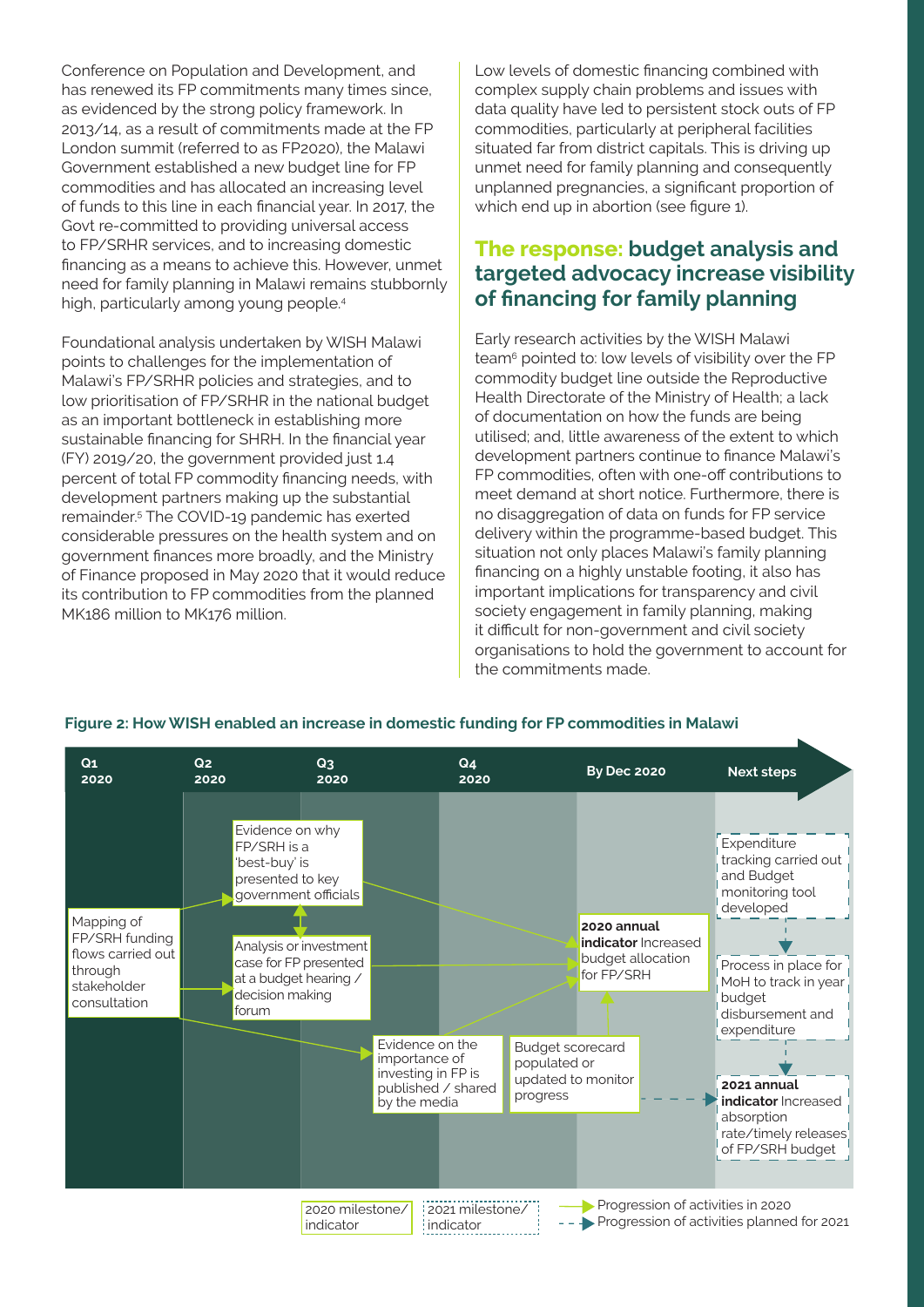Conference on Population and Development, and has renewed its FP commitments many times since, as evidenced by the strong policy framework. In 2013/14, as a result of commitments made at the FP London summit (referred to as FP2020), the Malawi Government established a new budget line for FP commodities and has allocated an increasing level of funds to this line in each financial year. In 2017, the Govt re-committed to providing universal access to FP/SRHR services, and to increasing domestic financing as a means to achieve this. However, unmet need for family planning in Malawi remains stubbornly high, particularly among young people.4

Foundational analysis undertaken by WISH Malawi points to challenges for the implementation of Malawi's FP/SRHR policies and strategies, and to low prioritisation of FP/SRHR in the national budget as an important bottleneck in establishing more sustainable financing for SHRH. In the financial year (FY) 2019/20, the government provided just 1.4 percent of total FP commodity financing needs, with development partners making up the substantial remainder.5 The COVID-19 pandemic has exerted considerable pressures on the health system and on government finances more broadly, and the Ministry of Finance proposed in May 2020 that it would reduce its contribution to FP commodities from the planned MK186 million to MK176 million.

Low levels of domestic financing combined with complex supply chain problems and issues with data quality have led to persistent stock outs of FP commodities, particularly at peripheral facilities situated far from district capitals. This is driving up unmet need for family planning and consequently unplanned pregnancies, a significant proportion of which end up in abortion (see figure 1).

### **The response: budget analysis and targeted advocacy increase visibility of financing for family planning**

Early research activities by the WISH Malawi team6 pointed to: low levels of visibility over the FP commodity budget line outside the Reproductive Health Directorate of the Ministry of Health; a lack of documentation on how the funds are being utilised; and, little awareness of the extent to which development partners continue to finance Malawi's FP commodities, often with one-off contributions to meet demand at short notice. Furthermore, there is no disaggregation of data on funds for FP service delivery within the programme-based budget. This situation not only places Malawi's family planning financing on a highly unstable footing, it also has important implications for transparency and civil society engagement in family planning, making it difficult for non-government and civil society organisations to hold the government to account for the commitments made.



#### **Figure 2: How WISH enabled an increase in domestic funding for FP commodities in Malawi**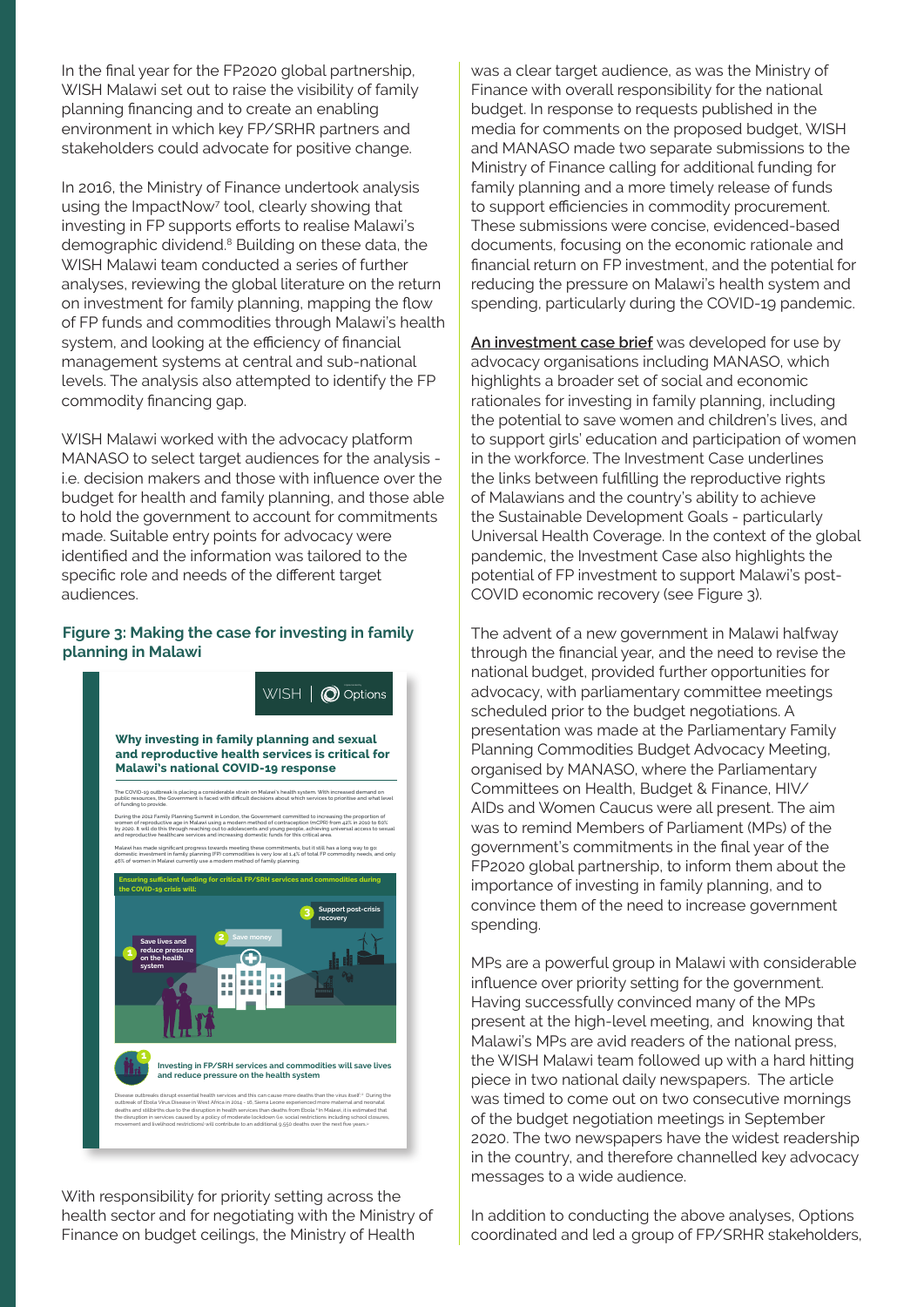In the final year for the FP2020 global partnership, WISH Malawi set out to raise the visibility of family planning financing and to create an enabling environment in which key FP/SRHR partners and stakeholders could advocate for positive change.

In 2016, the Ministry of Finance undertook analysis using the ImpactNow<sup>7</sup> tool, clearly showing that investing in FP supports efforts to realise Malawi's demographic dividend.<sup>8</sup> Building on these data, the WISH Malawi team conducted a series of further analyses, reviewing the global literature on the return on investment for family planning, mapping the flow of FP funds and commodities through Malawi's health system, and looking at the efficiency of financial management systems at central and sub-national levels. The analysis also attempted to identify the FP commodity financing gap.

WISH Malawi worked with the advocacy platform MANASO to select target audiences for the analysis i.e. decision makers and those with influence over the budget for health and family planning, and those able to hold the government to account for commitments made. Suitable entry points for advocacy were identified and the information was tailored to the specific role and needs of the different target audiences.

#### **Figure 3: Making the case for investing in family planning in Malawi**



With responsibility for priority setting across the health sector and for negotiating with the Ministry of Finance on budget ceilings, the Ministry of Health

was a clear target audience, as was the Ministry of Finance with overall responsibility for the national budget. In response to requests published in the media for comments on the proposed budget, WISH and MANASO made two separate submissions to the Ministry of Finance calling for additional funding for family planning and a more timely release of funds to support efficiencies in commodity procurement. These submissions were concise, evidenced-based documents, focusing on the economic rationale and financial return on FP investment, and the potential for reducing the pressure on Malawi's health system and spending, particularly during the COVID-19 pandemic.

**An investment case brief** was developed for use by advocacy organisations including MANASO, which highlights a broader set of social and economic rationales for investing in family planning, including the potential to save women and children's lives, and to support girls' education and participation of women in the workforce. The Investment Case underlines the links between fulfilling the reproductive rights of Malawians and the country's ability to achieve the Sustainable Development Goals - particularly Universal Health Coverage. In the context of the global pandemic, the Investment Case also highlights the potential of FP investment to support Malawi's post-COVID economic recovery (see Figure 3).

The advent of a new government in Malawi halfway through the financial year, and the need to revise the national budget, provided further opportunities for advocacy, with parliamentary committee meetings scheduled prior to the budget negotiations. A presentation was made at the Parliamentary Family Planning Commodities Budget Advocacy Meeting, organised by MANASO, where the Parliamentary Committees on Health, Budget & Finance, HIV/ AIDs and Women Caucus were all present. The aim was to remind Members of Parliament (MPs) of the government's commitments in the final year of the FP2020 global partnership, to inform them about the importance of investing in family planning, and to convince them of the need to increase government spending.

MPs are a powerful group in Malawi with considerable influence over priority setting for the government. Having successfully convinced many of the MPs present at the high-level meeting, and knowing that Malawi's MPs are avid readers of the national press, the WISH Malawi team followed up with a hard hitting piece in two national daily newspapers. The article was timed to come out on two consecutive mornings of the budget negotiation meetings in September 2020. The two newspapers have the widest readership in the country, and therefore channelled key advocacy messages to a wide audience.

In addition to conducting the above analyses, Options coordinated and led a group of FP/SRHR stakeholders,